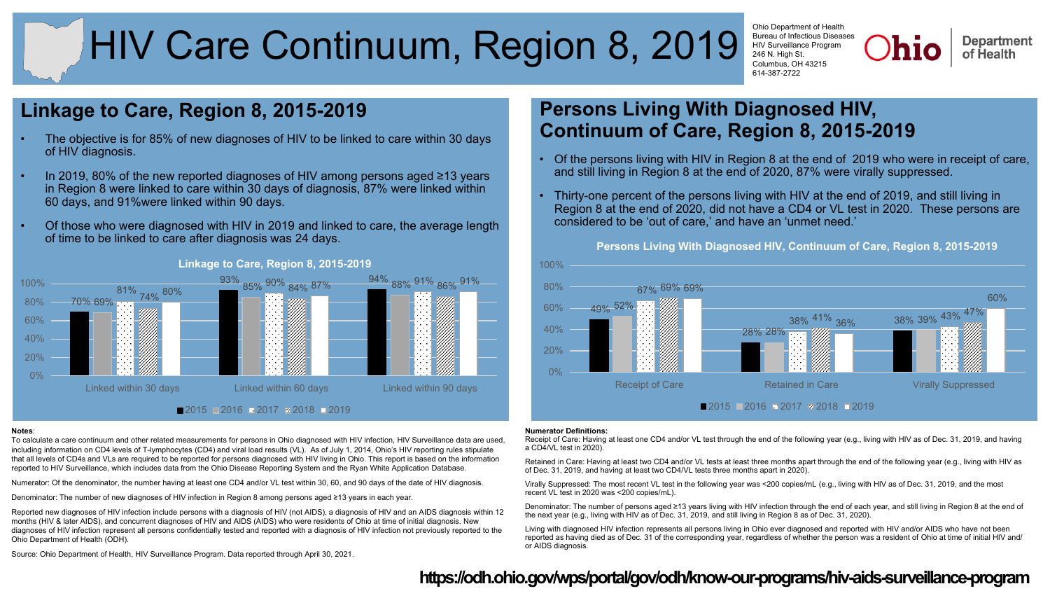# HIV Care Continuum, Region 8, 2019

Ohio Department of Health Bureau of Infectious Diseases HIV Surveillance Program 246 N. High St. Columbus, OH 43215 614-387-2722

**Department** of Health

# **Linkage to Care, Region 8, 2015-2019**

- The objective is for 85% of new diagnoses of HIV to be linked to care within 30 days of HIV diagnosis.
- In 2019, 80% of the new reported diagnoses of HIV among persons aged ≥13 years in Region 8 were linked to care within 30 days of diagnosis, 87% were linked within 60 days, and 91%were linked within 90 days.
- Of those who were diagnosed with HIV in 2019 and linked to care, the average length of time to be linked to care after diagnosis was 24 days.



### **Linkage to Care, Region 8, 2015-2019**

#### **Notes**:

To calculate a care continuum and other related measurements for persons in Ohio diagnosed with HIV infection, HIV Surveillance data are used, including information on CD4 levels of T-lymphocytes (CD4) and viral load results (VL). As of July 1, 2014, Ohio's HIV reporting rules stipulate that all levels of CD4s and VLs are required to be reported for persons diagnosed with HIV living in Ohio. This report is based on the information reported to HIV Surveillance, which includes data from the Ohio Disease Reporting System and the Ryan White Application Database.

Numerator: Of the denominator, the number having at least one CD4 and/or VL test within 30, 60, and 90 days of the date of HIV diagnosis.

Denominator: The number of new diagnoses of HIV infection in Region 8 among persons aged ≥13 years in each year.

Reported new diagnoses of HIV infection include persons with a diagnosis of HIV (not AIDS), a diagnosis of HIV and an AIDS diagnosis within 12 months (HIV & later AIDS), and concurrent diagnoses of HIV and AIDS (AIDS) who were residents of Ohio at time of initial diagnosis. New diagnoses of HIV infection represent all persons confidentially tested and reported with a diagnosis of HIV infection not previously reported to the Ohio Department of Health (ODH).

# **Persons Living With Diagnosed HIV, Continuum of Care, Region 8, 2015-2019**

- Of the persons living with HIV in Region 8 at the end of 2019 who were in receipt of care, and still living in Region 8 at the end of 2020, 87% were virally suppressed.
- Thirty-one percent of the persons living with HIV at the end of 2019, and still living in Region 8 at the end of 2020, did not have a CD4 or VL test in 2020. These persons are considered to be 'out of care,' and have an 'unmet need.'



#### **Numerator Definitions:**

Receipt of Care: Having at least one CD4 and/or VL test through the end of the following year (e.g., living with HIV as of Dec. 31, 2019, and having a CD4/VL test in 2020).

Retained in Care: Having at least two CD4 and/or VL tests at least three months apart through the end of the following year (e.g., living with HIV as of Dec. 31, 2019, and having at least two CD4/VL tests three months apart in 2020).

Virally Suppressed: The most recent VL test in the following year was <200 copies/mL (e.g., living with HIV as of Dec. 31, 2019, and the most recent VL test in 2020 was <200 copies/mL).

Denominator: The number of persons aged ≥13 years living with HIV infection through the end of each year, and still living in Region 8 at the end of the next year (e.g., living with HIV as of Dec. 31, 2019, and still living in Region 8 as of Dec. 31, 2020).

Living with diagnosed HIV infection represents all persons living in Ohio ever diagnosed and reported with HIV and/or AIDS who have not been reported as having died as of Dec. 31 of the corresponding year, regardless of whether the person was a resident of Ohio at time of initial HIV and/ or AIDS diagnosis.

Source: Ohio Department of Health, HIV Surveillance Program. Data reported through April 30, 2021.

## **<https://odh.ohio.gov/wps/portal/gov/odh/know-our-programs/hiv-aids-surveillance-program>**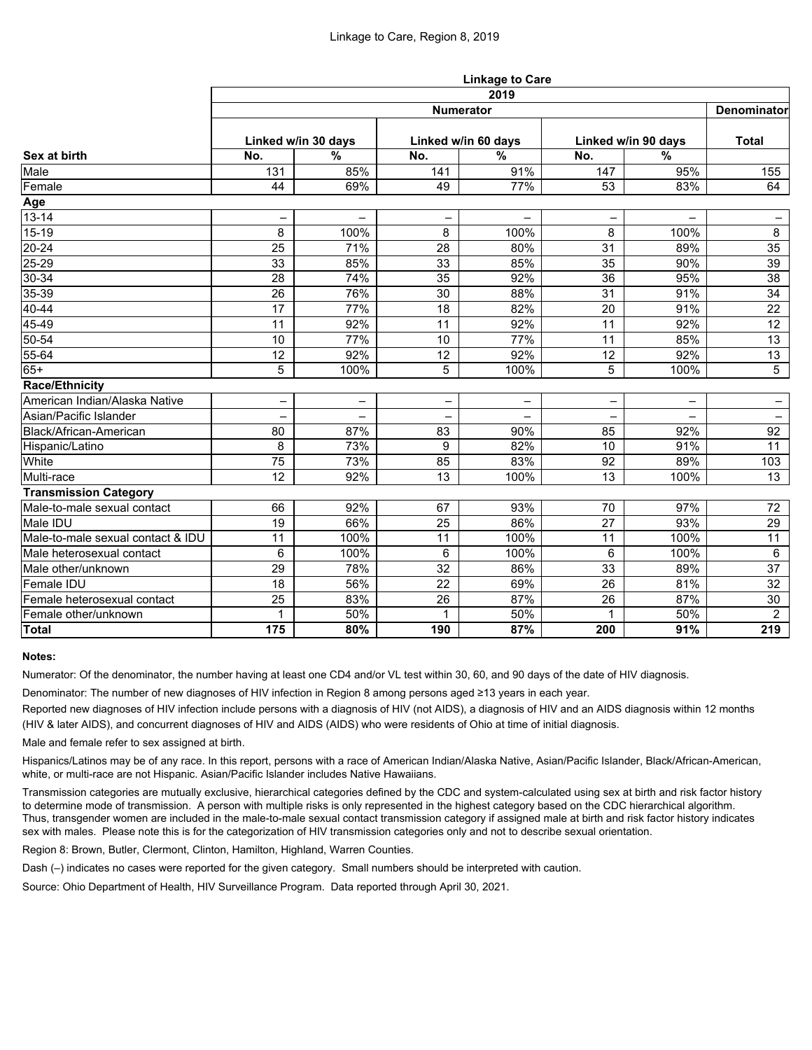|                                   | <b>Linkage to Care</b> |                          |                          |                   |                     |                          |                          |  |  |  |
|-----------------------------------|------------------------|--------------------------|--------------------------|-------------------|---------------------|--------------------------|--------------------------|--|--|--|
|                                   | 2019<br>Denominator    |                          |                          |                   |                     |                          |                          |  |  |  |
| Sex at birth                      | <b>Numerator</b>       |                          |                          |                   |                     |                          |                          |  |  |  |
|                                   | Linked w/in 30 days    |                          | Linked w/in 60 days      |                   | Linked w/in 90 days |                          | <b>Total</b>             |  |  |  |
|                                   | No.                    | $\frac{0}{0}$            | No.                      | $\frac{0}{0}$     | No.                 | $\frac{9}{6}$            |                          |  |  |  |
| Male                              | 131                    | 85%                      | 141                      | 91%               | 147                 | 95%                      | 155                      |  |  |  |
| Female                            | 44                     | 69%                      | 49                       | 77%               | 53                  | 83%                      | 64                       |  |  |  |
| Age                               |                        |                          |                          |                   |                     |                          |                          |  |  |  |
| $13 - 14$                         | -                      | $\overline{\phantom{0}}$ | $\overline{\phantom{0}}$ | $\qquad \qquad -$ | $\qquad \qquad -$   | $\overline{\phantom{0}}$ | $\overline{\phantom{0}}$ |  |  |  |
| 15-19                             | 8                      | 100%                     | 8                        | 100%              | 8                   | 100%                     | 8                        |  |  |  |
| $\overline{20} - 24$              | 25                     | 71%                      | 28                       | 80%               | 31                  | 89%                      | 35                       |  |  |  |
| $25 - 29$                         | 33                     | 85%                      | 33                       | 85%               | 35                  | 90%                      | 39                       |  |  |  |
| $30 - 34$                         | 28                     | 74%                      | 35                       | 92%               | 36                  | 95%                      | 38                       |  |  |  |
| 35-39                             | 26                     | 76%                      | 30                       | 88%               | 31                  | 91%                      | 34                       |  |  |  |
| 40-44                             | 17                     | 77%                      | 18                       | 82%               | 20                  | 91%                      | 22                       |  |  |  |
| 45-49                             | 11                     | 92%                      | 11                       | 92%               | 11                  | 92%                      | 12                       |  |  |  |
| 50-54                             | 10                     | 77%                      | 10                       | 77%               | 11                  | 85%                      | 13                       |  |  |  |
| 55-64                             | 12                     | 92%                      | 12                       | 92%               | 12                  | 92%                      | 13                       |  |  |  |
| $65+$                             | 5                      | 100%                     | 5                        | 100%              | 5                   | 100%                     | $\overline{5}$           |  |  |  |
| <b>Race/Ethnicity</b>             |                        |                          |                          |                   |                     |                          |                          |  |  |  |
| American Indian/Alaska Native     | -                      | $\overline{\phantom{0}}$ |                          | -                 | $\qquad \qquad -$   | -                        | $\qquad \qquad -$        |  |  |  |
| Asian/Pacific Islander            |                        |                          |                          |                   |                     |                          |                          |  |  |  |
| Black/African-American            | 80                     | 87%                      | 83                       | 90%               | 85                  | 92%                      | 92                       |  |  |  |
| Hispanic/Latino                   | 8                      | 73%                      | 9                        | 82%               | 10                  | 91%                      | 11                       |  |  |  |
| White                             | 75                     | 73%                      | 85                       | 83%               | 92                  | 89%                      | 103                      |  |  |  |
| Multi-race                        | 12                     | 92%                      | 13                       | 100%              | 13                  | 100%                     | 13                       |  |  |  |
| <b>Transmission Category</b>      |                        |                          |                          |                   |                     |                          |                          |  |  |  |
| Male-to-male sexual contact       | 66                     | 92%                      | 67                       | 93%               | 70                  | 97%                      | 72                       |  |  |  |
| Male IDU                          | 19                     | 66%                      | 25                       | 86%               | 27                  | 93%                      | 29                       |  |  |  |
| Male-to-male sexual contact & IDU | 11                     | 100%                     | 11                       | 100%              | 11                  | 100%                     | 11                       |  |  |  |
| Male heterosexual contact         | 6                      | 100%                     | 6                        | 100%              | 6                   | 100%                     | $6\phantom{.}6$          |  |  |  |
| Male other/unknown                | 29                     | 78%                      | 32                       | 86%               | 33                  | 89%                      | 37                       |  |  |  |
| Female IDU                        | 18                     | 56%                      | 22                       | 69%               | 26                  | 81%                      | 32                       |  |  |  |
| Female heterosexual contact       | 25                     | 83%                      | 26                       | 87%               | 26                  | 87%                      | 30                       |  |  |  |
| Female other/unknown              | 1                      | 50%                      | $\mathbf{1}$             | 50%               | $\mathbf 1$         | 50%                      | $\overline{2}$           |  |  |  |
| Total                             | 175                    | 80%                      | 190                      | 87%               | 200                 | 91%                      | 219                      |  |  |  |

## **Notes:**

Numerator: Of the denominator, the number having at least one CD4 and/or VL test within 30, 60, and 90 days of the date of HIV diagnosis.

Denominator: The number of new diagnoses of HIV infection in Region 8 among persons aged ≥13 years in each year.

Reported new diagnoses of HIV infection include persons with a diagnosis of HIV (not AIDS), a diagnosis of HIV and an AIDS diagnosis within 12 months (HIV & later AIDS), and concurrent diagnoses of HIV and AIDS (AIDS) who were residents of Ohio at time of initial diagnosis.

Male and female refer to sex assigned at birth.

Hispanics/Latinos may be of any race. In this report, persons with a race of American Indian/Alaska Native, Asian/Pacific Islander, Black/African-American, white, or multi-race are not Hispanic. Asian/Pacific Islander includes Native Hawaiians.

Transmission categories are mutually exclusive, hierarchical categories defined by the CDC and system-calculated using sex at birth and risk factor history to determine mode of transmission. A person with multiple risks is only represented in the highest category based on the CDC hierarchical algorithm. Thus, transgender women are included in the male-to-male sexual contact transmission category if assigned male at birth and risk factor history indicates sex with males. Please note this is for the categorization of HIV transmission categories only and not to describe sexual orientation.

Region 8: Brown, Butler, Clermont, Clinton, Hamilton, Highland, Warren Counties.

Dash (–) indicates no cases were reported for the given category. Small numbers should be interpreted with caution.

Source: Ohio Department of Health, HIV Surveillance Program. Data reported through April 30, 2021.